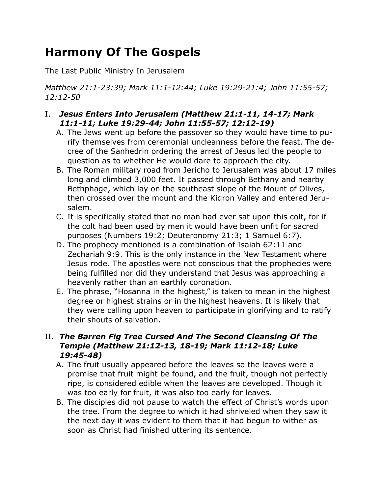# **Harmony Of The Gospels**

The Last Public Ministry In Jerusalem

*Matthew 21:1-23:39; Mark 11:1-12:44; Luke 19:29-21:4; John 11:55-57; 12:12-50*

## I. *Jesus Enters Into Jerusalem (Matthew 21:1-11, 14-17; Mark 11:1-11; Luke 19:29-44; John 11:55-57; 12:12-19)*

- A. The Jews went up before the passover so they would have time to purify themselves from ceremonial uncleanness before the feast. The decree of the Sanhedrin ordering the arrest of Jesus led the people to question as to whether He would dare to approach the city.
- B. The Roman military road from Jericho to Jerusalem was about 17 miles long and climbed 3,000 feet. It passed through Bethany and nearby Bethphage, which lay on the southeast slope of the Mount of Olives, then crossed over the mount and the Kidron Valley and entered Jerusalem.
- C. It is specifically stated that no man had ever sat upon this colt, for if the colt had been used by men it would have been unfit for sacred purposes (Numbers 19:2; Deuteronomy 21:3; 1 Samuel 6:7).
- D. The prophecy mentioned is a combination of Isaiah 62:11 and Zechariah 9:9. This is the only instance in the New Testament where Jesus rode. The apostles were not conscious that the prophecies were being fulfilled nor did they understand that Jesus was approaching a heavenly rather than an earthly coronation.
- E. The phrase, "Hosanna in the highest," is taken to mean in the highest degree or highest strains or in the highest heavens. It is likely that they were calling upon heaven to participate in glorifying and to ratify their shouts of salvation.

## II. *The Barren Fig Tree Cursed And The Second Cleansing Of The Temple (Matthew 21:12-13, 18-19; Mark 11:12-18; Luke 19:45-48)*

- A. The fruit usually appeared before the leaves so the leaves were a promise that fruit might be found, and the fruit, though not perfectly ripe, is considered edible when the leaves are developed. Though it was too early for fruit, it was also too early for leaves.
- B. The disciples did not pause to watch the effect of Christ's words upon the tree. From the degree to which it had shriveled when they saw it the next day it was evident to them that it had begun to wither as soon as Christ had finished uttering its sentence.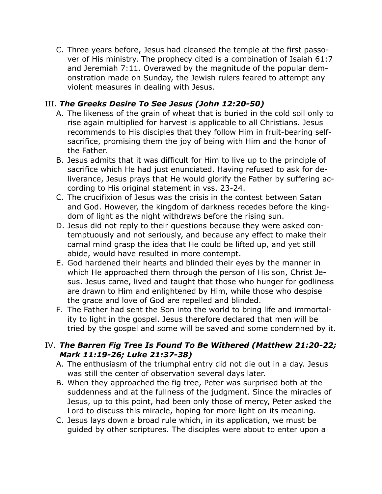C. Three years before, Jesus had cleansed the temple at the first passover of His ministry. The prophecy cited is a combination of Isaiah 61:7 and Jeremiah 7:11. Overawed by the magnitude of the popular demonstration made on Sunday, the Jewish rulers feared to attempt any violent measures in dealing with Jesus.

# III. *The Greeks Desire To See Jesus (John 12:20-50)*

- A. The likeness of the grain of wheat that is buried in the cold soil only to rise again multiplied for harvest is applicable to all Christians. Jesus recommends to His disciples that they follow Him in fruit-bearing selfsacrifice, promising them the joy of being with Him and the honor of the Father.
- B. Jesus admits that it was difficult for Him to live up to the principle of sacrifice which He had just enunciated. Having refused to ask for deliverance, Jesus prays that He would glorify the Father by suffering according to His original statement in vss. 23-24.
- C. The crucifixion of Jesus was the crisis in the contest between Satan and God. However, the kingdom of darkness recedes before the kingdom of light as the night withdraws before the rising sun.
- D. Jesus did not reply to their questions because they were asked contemptuously and not seriously, and because any effect to make their carnal mind grasp the idea that He could be lifted up, and yet still abide, would have resulted in more contempt.
- E. God hardened their hearts and blinded their eyes by the manner in which He approached them through the person of His son, Christ Jesus. Jesus came, lived and taught that those who hunger for godliness are drawn to Him and enlightened by Him, while those who despise the grace and love of God are repelled and blinded.
- F. The Father had sent the Son into the world to bring life and immortality to light in the gospel. Jesus therefore declared that men will be tried by the gospel and some will be saved and some condemned by it.

## IV. *The Barren Fig Tree Is Found To Be Withered (Matthew 21:20-22; Mark 11:19-26; Luke 21:37-38)*

- A. The enthusiasm of the triumphal entry did not die out in a day. Jesus was still the center of observation several days later.
- B. When they approached the fig tree, Peter was surprised both at the suddenness and at the fullness of the judgment. Since the miracles of Jesus, up to this point, had been only those of mercy, Peter asked the Lord to discuss this miracle, hoping for more light on its meaning.
- C. Jesus lays down a broad rule which, in its application, we must be guided by other scriptures. The disciples were about to enter upon a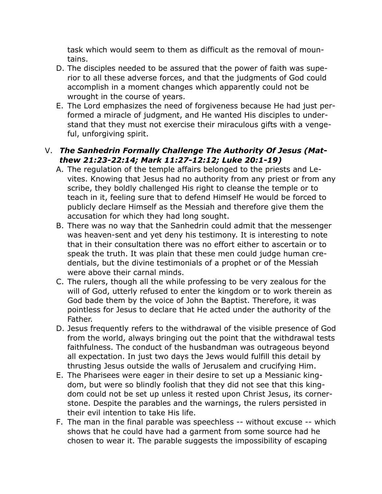task which would seem to them as difficult as the removal of mountains.

- D. The disciples needed to be assured that the power of faith was superior to all these adverse forces, and that the judgments of God could accomplish in a moment changes which apparently could not be wrought in the course of years.
- E. The Lord emphasizes the need of forgiveness because He had just performed a miracle of judgment, and He wanted His disciples to understand that they must not exercise their miraculous gifts with a vengeful, unforgiving spirit.

## V. *The Sanhedrin Formally Challenge The Authority Of Jesus (Matthew 21:23-22:14; Mark 11:27-12:12; Luke 20:1-19)*

- A. The regulation of the temple affairs belonged to the priests and Levites. Knowing that Jesus had no authority from any priest or from any scribe, they boldly challenged His right to cleanse the temple or to teach in it, feeling sure that to defend Himself He would be forced to publicly declare Himself as the Messiah and therefore give them the accusation for which they had long sought.
- B. There was no way that the Sanhedrin could admit that the messenger was heaven-sent and yet deny his testimony. It is interesting to note that in their consultation there was no effort either to ascertain or to speak the truth. It was plain that these men could judge human credentials, but the divine testimonials of a prophet or of the Messiah were above their carnal minds.
- C. The rulers, though all the while professing to be very zealous for the will of God, utterly refused to enter the kingdom or to work therein as God bade them by the voice of John the Baptist. Therefore, it was pointless for Jesus to declare that He acted under the authority of the Father.
- D. Jesus frequently refers to the withdrawal of the visible presence of God from the world, always bringing out the point that the withdrawal tests faithfulness. The conduct of the husbandman was outrageous beyond all expectation. In just two days the Jews would fulfill this detail by thrusting Jesus outside the walls of Jerusalem and crucifying Him.
- E. The Pharisees were eager in their desire to set up a Messianic kingdom, but were so blindly foolish that they did not see that this kingdom could not be set up unless it rested upon Christ Jesus, its cornerstone. Despite the parables and the warnings, the rulers persisted in their evil intention to take His life.
- F. The man in the final parable was speechless -- without excuse -- which shows that he could have had a garment from some source had he chosen to wear it. The parable suggests the impossibility of escaping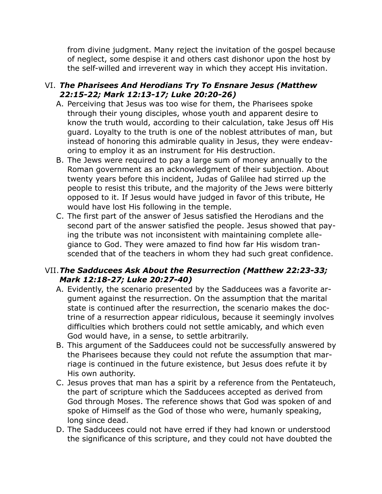from divine judgment. Many reject the invitation of the gospel because of neglect, some despise it and others cast dishonor upon the host by the self-willed and irreverent way in which they accept His invitation.

#### VI. *The Pharisees And Herodians Try To Ensnare Jesus (Matthew 22:15-22; Mark 12:13-17; Luke 20:20-26)*

- A. Perceiving that Jesus was too wise for them, the Pharisees spoke through their young disciples, whose youth and apparent desire to know the truth would, according to their calculation, take Jesus off His guard. Loyalty to the truth is one of the noblest attributes of man, but instead of honoring this admirable quality in Jesus, they were endeavoring to employ it as an instrument for His destruction.
- B. The Jews were required to pay a large sum of money annually to the Roman government as an acknowledgment of their subjection. About twenty years before this incident, Judas of Galilee had stirred up the people to resist this tribute, and the majority of the Jews were bitterly opposed to it. If Jesus would have judged in favor of this tribute, He would have lost His following in the temple.
- C. The first part of the answer of Jesus satisfied the Herodians and the second part of the answer satisfied the people. Jesus showed that paying the tribute was not inconsistent with maintaining complete allegiance to God. They were amazed to find how far His wisdom transcended that of the teachers in whom they had such great confidence.

#### VII.*The Sadducees Ask About the Resurrection (Matthew 22:23-33; Mark 12:18-27; Luke 20:27-40)*

- A. Evidently, the scenario presented by the Sadducees was a favorite argument against the resurrection. On the assumption that the marital state is continued after the resurrection, the scenario makes the doctrine of a resurrection appear ridiculous, because it seemingly involves difficulties which brothers could not settle amicably, and which even God would have, in a sense, to settle arbitrarily.
- B. This argument of the Sadducees could not be successfully answered by the Pharisees because they could not refute the assumption that marriage is continued in the future existence, but Jesus does refute it by His own authority.
- C. Jesus proves that man has a spirit by a reference from the Pentateuch, the part of scripture which the Sadducees accepted as derived from God through Moses. The reference shows that God was spoken of and spoke of Himself as the God of those who were, humanly speaking, long since dead.
- D. The Sadducees could not have erred if they had known or understood the significance of this scripture, and they could not have doubted the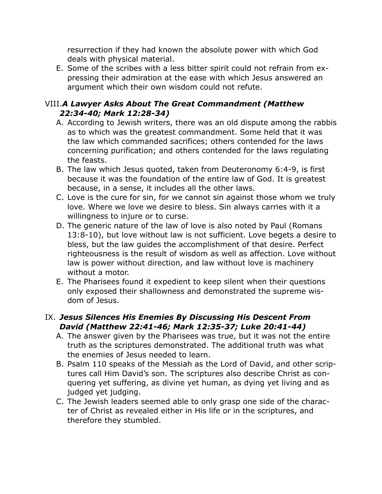resurrection if they had known the absolute power with which God deals with physical material.

E. Some of the scribes with a less bitter spirit could not refrain from expressing their admiration at the ease with which Jesus answered an argument which their own wisdom could not refute.

# VIII.*A Lawyer Asks About The Great Commandment (Matthew 22:34-40; Mark 12:28-34)*

- A. According to Jewish writers, there was an old dispute among the rabbis as to which was the greatest commandment. Some held that it was the law which commanded sacrifices; others contended for the laws concerning purification; and others contended for the laws regulating the feasts.
- B. The law which Jesus quoted, taken from Deuteronomy 6:4-9, is first because it was the foundation of the entire law of God. It is greatest because, in a sense, it includes all the other laws.
- C. Love is the cure for sin, for we cannot sin against those whom we truly love. Where we love we desire to bless. Sin always carries with it a willingness to injure or to curse.
- D. The generic nature of the law of love is also noted by Paul (Romans 13:8-10), but love without law is not sufficient. Love begets a desire to bless, but the law guides the accomplishment of that desire. Perfect righteousness is the result of wisdom as well as affection. Love without law is power without direction, and law without love is machinery without a motor.
- E. The Pharisees found it expedient to keep silent when their questions only exposed their shallowness and demonstrated the supreme wisdom of Jesus.

#### IX. *Jesus Silences His Enemies By Discussing His Descent From David (Matthew 22:41-46; Mark 12:35-37; Luke 20:41-44)*

- A. The answer given by the Pharisees was true, but it was not the entire truth as the scriptures demonstrated. The additional truth was what the enemies of Jesus needed to learn.
- B. Psalm 110 speaks of the Messiah as the Lord of David, and other scriptures call Him David's son. The scriptures also describe Christ as conquering yet suffering, as divine yet human, as dying yet living and as judged yet judging.
- C. The Jewish leaders seemed able to only grasp one side of the character of Christ as revealed either in His life or in the scriptures, and therefore they stumbled.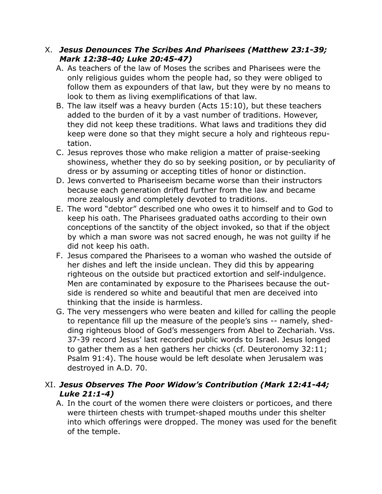#### X. *Jesus Denounces The Scribes And Pharisees (Matthew 23:1-39; Mark 12:38-40; Luke 20:45-47)*

- A. As teachers of the law of Moses the scribes and Pharisees were the only religious guides whom the people had, so they were obliged to follow them as expounders of that law, but they were by no means to look to them as living exemplifications of that law.
- B. The law itself was a heavy burden (Acts 15:10), but these teachers added to the burden of it by a vast number of traditions. However, they did not keep these traditions. What laws and traditions they did keep were done so that they might secure a holy and righteous reputation.
- C. Jesus reproves those who make religion a matter of praise-seeking showiness, whether they do so by seeking position, or by peculiarity of dress or by assuming or accepting titles of honor or distinction.
- D. Jews converted to Phariseeism became worse than their instructors because each generation drifted further from the law and became more zealously and completely devoted to traditions.
- E. The word "debtor" described one who owes it to himself and to God to keep his oath. The Pharisees graduated oaths according to their own conceptions of the sanctity of the object invoked, so that if the object by which a man swore was not sacred enough, he was not guilty if he did not keep his oath.
- F. Jesus compared the Pharisees to a woman who washed the outside of her dishes and left the inside unclean. They did this by appearing righteous on the outside but practiced extortion and self-indulgence. Men are contaminated by exposure to the Pharisees because the outside is rendered so white and beautiful that men are deceived into thinking that the inside is harmless.
- G. The very messengers who were beaten and killed for calling the people to repentance fill up the measure of the people's sins -- namely, shedding righteous blood of God's messengers from Abel to Zechariah. Vss. 37-39 record Jesus' last recorded public words to Israel. Jesus longed to gather them as a hen gathers her chicks (cf. Deuteronomy 32:11; Psalm 91:4). The house would be left desolate when Jerusalem was destroyed in A.D. 70.

# XI. *Jesus Observes The Poor Widow's Contribution (Mark 12:41-44; Luke 21:1-4)*

A. In the court of the women there were cloisters or porticoes, and there were thirteen chests with trumpet-shaped mouths under this shelter into which offerings were dropped. The money was used for the benefit of the temple.